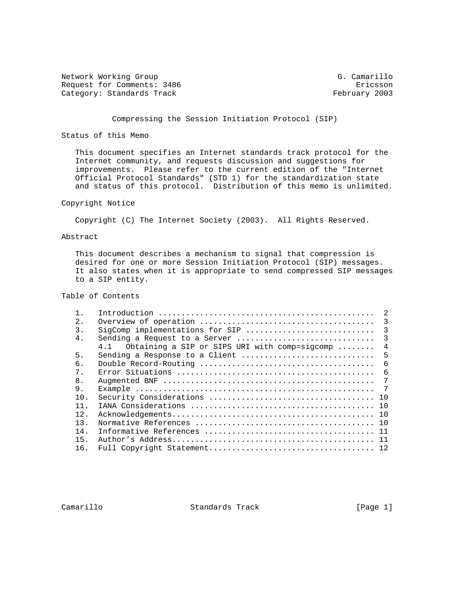Network Working Group G. Camarillo Request for Comments: 3486 Ericsson<br>
Category: Standards Track and Ericsson Ericsson Category: Standards Track

## Compressing the Session Initiation Protocol (SIP)

## Status of this Memo

 This document specifies an Internet standards track protocol for the Internet community, and requests discussion and suggestions for improvements. Please refer to the current edition of the "Internet Official Protocol Standards" (STD 1) for the standardization state and status of this protocol. Distribution of this memo is unlimited.

### Copyright Notice

Copyright (C) The Internet Society (2003). All Rights Reserved.

### Abstract

 This document describes a mechanism to signal that compression is desired for one or more Session Initiation Protocol (SIP) messages. It also states when it is appropriate to send compressed SIP messages to a SIP entity.

# Table of Contents

|       |                                                   | 2   |
|-------|---------------------------------------------------|-----|
| 2.    |                                                   | 3   |
| 3.    |                                                   |     |
| 4.    | Sending a Request to a Server                     | 3   |
|       | 4.1 Obtaining a SIP or SIPS URI with comp=sigcomp | 4   |
| 5.    | Sending a Response to a Client                    | 5   |
| б.    |                                                   | - 6 |
| $7$ . |                                                   | -6  |
| 8.    |                                                   | 7   |
| 9.    |                                                   |     |
| 10.   |                                                   |     |
| 11.   |                                                   |     |
| 12.   |                                                   |     |
| 13.   |                                                   |     |
| 14.   |                                                   |     |
| 15.   |                                                   |     |
| 16.   |                                                   |     |
|       |                                                   |     |

Camarillo Standards Track [Page 1]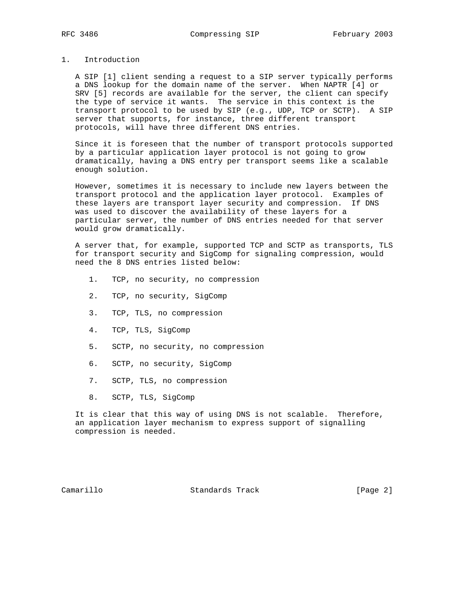# 1. Introduction

 A SIP [1] client sending a request to a SIP server typically performs a DNS lookup for the domain name of the server. When NAPTR [4] or SRV [5] records are available for the server, the client can specify the type of service it wants. The service in this context is the transport protocol to be used by SIP (e.g., UDP, TCP or SCTP). A SIP server that supports, for instance, three different transport protocols, will have three different DNS entries.

 Since it is foreseen that the number of transport protocols supported by a particular application layer protocol is not going to grow dramatically, having a DNS entry per transport seems like a scalable enough solution.

 However, sometimes it is necessary to include new layers between the transport protocol and the application layer protocol. Examples of these layers are transport layer security and compression. If DNS was used to discover the availability of these layers for a particular server, the number of DNS entries needed for that server would grow dramatically.

 A server that, for example, supported TCP and SCTP as transports, TLS for transport security and SigComp for signaling compression, would need the 8 DNS entries listed below:

- 1. TCP, no security, no compression
- 2. TCP, no security, SigComp
- 3. TCP, TLS, no compression
- 4. TCP, TLS, SigComp
- 5. SCTP, no security, no compression
- 6. SCTP, no security, SigComp
- 7. SCTP, TLS, no compression
- 8. SCTP, TLS, SigComp

 It is clear that this way of using DNS is not scalable. Therefore, an application layer mechanism to express support of signalling compression is needed.

Camarillo Standards Track [Page 2]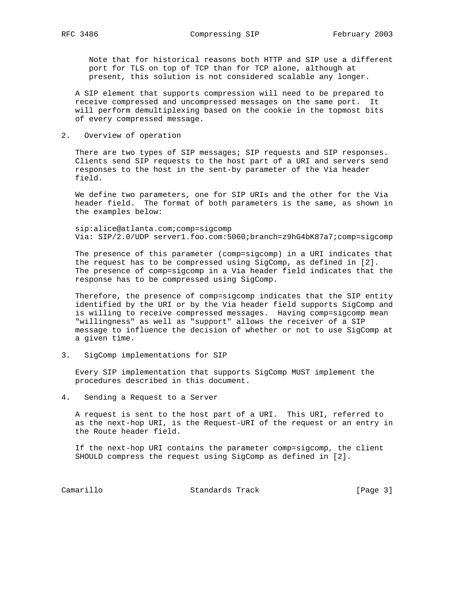Note that for historical reasons both HTTP and SIP use a different port for TLS on top of TCP than for TCP alone, although at present, this solution is not considered scalable any longer.

 A SIP element that supports compression will need to be prepared to receive compressed and uncompressed messages on the same port. It will perform demultiplexing based on the cookie in the topmost bits of every compressed message.

## 2. Overview of operation

 There are two types of SIP messages; SIP requests and SIP responses. Clients send SIP requests to the host part of a URI and servers send responses to the host in the sent-by parameter of the Via header field.

 We define two parameters, one for SIP URIs and the other for the Via header field. The format of both parameters is the same, as shown in the examples below:

 sip:alice@atlanta.com;comp=sigcomp Via: SIP/2.0/UDP server1.foo.com:5060;branch=z9hG4bK87a7;comp=sigcomp

 The presence of this parameter (comp=sigcomp) in a URI indicates that the request has to be compressed using SigComp, as defined in [2]. The presence of comp=sigcomp in a Via header field indicates that the response has to be compressed using SigComp.

 Therefore, the presence of comp=sigcomp indicates that the SIP entity identified by the URI or by the Via header field supports SigComp and is willing to receive compressed messages. Having comp=sigcomp mean "willingness" as well as "support" allows the receiver of a SIP message to influence the decision of whether or not to use SigComp at a given time.

3. SigComp implementations for SIP

 Every SIP implementation that supports SigComp MUST implement the procedures described in this document.

4. Sending a Request to a Server

 A request is sent to the host part of a URI. This URI, referred to as the next-hop URI, is the Request-URI of the request or an entry in the Route header field.

 If the next-hop URI contains the parameter comp=sigcomp, the client SHOULD compress the request using SigComp as defined in [2].

Camarillo Standards Track [Page 3]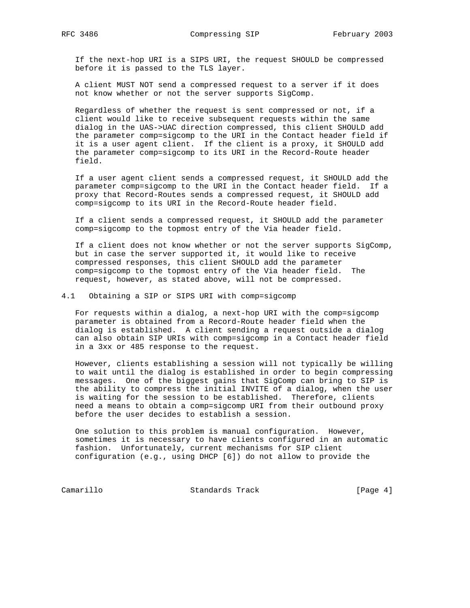If the next-hop URI is a SIPS URI, the request SHOULD be compressed before it is passed to the TLS layer.

 A client MUST NOT send a compressed request to a server if it does not know whether or not the server supports SigComp.

 Regardless of whether the request is sent compressed or not, if a client would like to receive subsequent requests within the same dialog in the UAS->UAC direction compressed, this client SHOULD add the parameter comp=sigcomp to the URI in the Contact header field if it is a user agent client. If the client is a proxy, it SHOULD add the parameter comp=sigcomp to its URI in the Record-Route header field.

 If a user agent client sends a compressed request, it SHOULD add the parameter comp=sigcomp to the URI in the Contact header field. If a proxy that Record-Routes sends a compressed request, it SHOULD add comp=sigcomp to its URI in the Record-Route header field.

 If a client sends a compressed request, it SHOULD add the parameter comp=sigcomp to the topmost entry of the Via header field.

 If a client does not know whether or not the server supports SigComp, but in case the server supported it, it would like to receive compressed responses, this client SHOULD add the parameter comp=sigcomp to the topmost entry of the Via header field. The request, however, as stated above, will not be compressed.

4.1 Obtaining a SIP or SIPS URI with comp=sigcomp

 For requests within a dialog, a next-hop URI with the comp=sigcomp parameter is obtained from a Record-Route header field when the dialog is established. A client sending a request outside a dialog can also obtain SIP URIs with comp=sigcomp in a Contact header field in a 3xx or 485 response to the request.

 However, clients establishing a session will not typically be willing to wait until the dialog is established in order to begin compressing messages. One of the biggest gains that SigComp can bring to SIP is the ability to compress the initial INVITE of a dialog, when the user is waiting for the session to be established. Therefore, clients need a means to obtain a comp=sigcomp URI from their outbound proxy before the user decides to establish a session.

 One solution to this problem is manual configuration. However, sometimes it is necessary to have clients configured in an automatic fashion. Unfortunately, current mechanisms for SIP client configuration (e.g., using DHCP [6]) do not allow to provide the

Camarillo Standards Track [Page 4]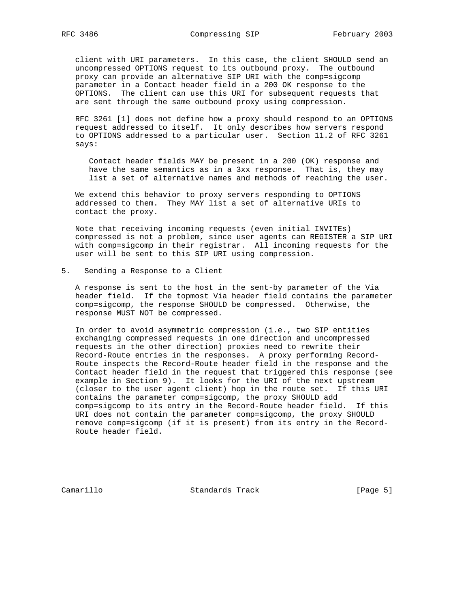client with URI parameters. In this case, the client SHOULD send an uncompressed OPTIONS request to its outbound proxy. The outbound proxy can provide an alternative SIP URI with the comp=sigcomp parameter in a Contact header field in a 200 OK response to the OPTIONS. The client can use this URI for subsequent requests that are sent through the same outbound proxy using compression.

 RFC 3261 [1] does not define how a proxy should respond to an OPTIONS request addressed to itself. It only describes how servers respond to OPTIONS addressed to a particular user. Section 11.2 of RFC 3261 says:

 Contact header fields MAY be present in a 200 (OK) response and have the same semantics as in a 3xx response. That is, they may list a set of alternative names and methods of reaching the user.

 We extend this behavior to proxy servers responding to OPTIONS addressed to them. They MAY list a set of alternative URIs to contact the proxy.

 Note that receiving incoming requests (even initial INVITEs) compressed is not a problem, since user agents can REGISTER a SIP URI with comp=sigcomp in their registrar. All incoming requests for the user will be sent to this SIP URI using compression.

5. Sending a Response to a Client

 A response is sent to the host in the sent-by parameter of the Via header field. If the topmost Via header field contains the parameter comp=sigcomp, the response SHOULD be compressed. Otherwise, the response MUST NOT be compressed.

 In order to avoid asymmetric compression (i.e., two SIP entities exchanging compressed requests in one direction and uncompressed requests in the other direction) proxies need to rewrite their Record-Route entries in the responses. A proxy performing Record- Route inspects the Record-Route header field in the response and the Contact header field in the request that triggered this response (see example in Section 9). It looks for the URI of the next upstream (closer to the user agent client) hop in the route set. If this URI contains the parameter comp=sigcomp, the proxy SHOULD add comp=sigcomp to its entry in the Record-Route header field. If this URI does not contain the parameter comp=sigcomp, the proxy SHOULD remove comp=sigcomp (if it is present) from its entry in the Record- Route header field.

Camarillo Standards Track [Page 5]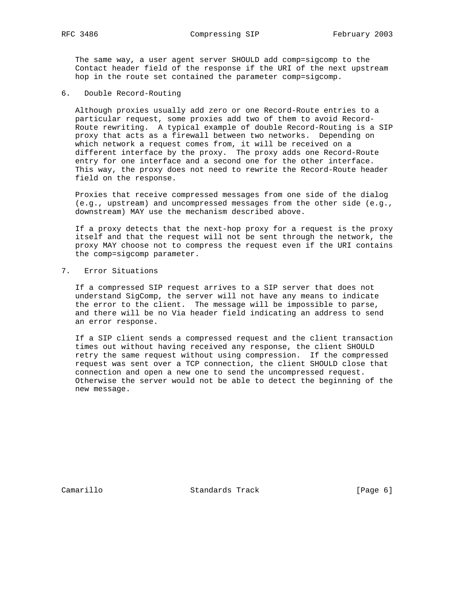The same way, a user agent server SHOULD add comp=sigcomp to the Contact header field of the response if the URI of the next upstream hop in the route set contained the parameter comp=sigcomp.

6. Double Record-Routing

 Although proxies usually add zero or one Record-Route entries to a particular request, some proxies add two of them to avoid Record- Route rewriting. A typical example of double Record-Routing is a SIP proxy that acts as a firewall between two networks. Depending on which network a request comes from, it will be received on a different interface by the proxy. The proxy adds one Record-Route entry for one interface and a second one for the other interface. This way, the proxy does not need to rewrite the Record-Route header field on the response.

 Proxies that receive compressed messages from one side of the dialog (e.g., upstream) and uncompressed messages from the other side (e.g., downstream) MAY use the mechanism described above.

 If a proxy detects that the next-hop proxy for a request is the proxy itself and that the request will not be sent through the network, the proxy MAY choose not to compress the request even if the URI contains the comp=sigcomp parameter.

7. Error Situations

 If a compressed SIP request arrives to a SIP server that does not understand SigComp, the server will not have any means to indicate the error to the client. The message will be impossible to parse, and there will be no Via header field indicating an address to send an error response.

 If a SIP client sends a compressed request and the client transaction times out without having received any response, the client SHOULD retry the same request without using compression. If the compressed request was sent over a TCP connection, the client SHOULD close that connection and open a new one to send the uncompressed request. Otherwise the server would not be able to detect the beginning of the new message.

Camarillo Standards Track [Page 6]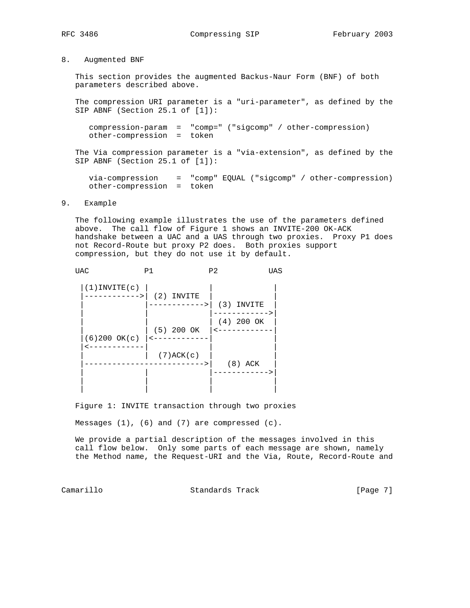8. Augmented BNF

 This section provides the augmented Backus-Naur Form (BNF) of both parameters described above.

 The compression URI parameter is a "uri-parameter", as defined by the SIP ABNF (Section 25.1 of [1]):

 compression-param = "comp=" ("sigcomp" / other-compression) other-compression = token

 The Via compression parameter is a "via-extension", as defined by the SIP ABNF (Section 25.1 of [1]):

 via-compression = "comp" EQUAL ("sigcomp" / other-compression) other-compression = token

#### 9. Example

 The following example illustrates the use of the parameters defined above. The call flow of Figure 1 shows an INVITE-200 OK-ACK handshake between a UAC and a UAS through two proxies. Proxy P1 does not Record-Route but proxy P2 does. Both proxies support compression, but they do not use it by default.

UAC P1 P2 UAS

| $(1)$ INVITE $(c)$ |                 |                       |
|--------------------|-----------------|-----------------------|
| -------->1         | $(2)$ INVITE    |                       |
|                    | ----->          | $(3)$ INVITE          |
|                    |                 | $---$<br>$(4)$ 200 OK |
|                    | $(5)$ 200 OK    |                       |
| $(6)200$ OK $(c)$  |                 |                       |
|                    | $(7)$ ACK $(c)$ |                       |
|                    |                 | $(8)$ ACK             |
|                    |                 |                       |
|                    |                 |                       |
|                    |                 |                       |

Figure 1: INVITE transaction through two proxies

Messages (1), (6) and (7) are compressed (c).

 We provide a partial description of the messages involved in this call flow below. Only some parts of each message are shown, namely the Method name, the Request-URI and the Via, Route, Record-Route and

Camarillo Standards Track [Page 7]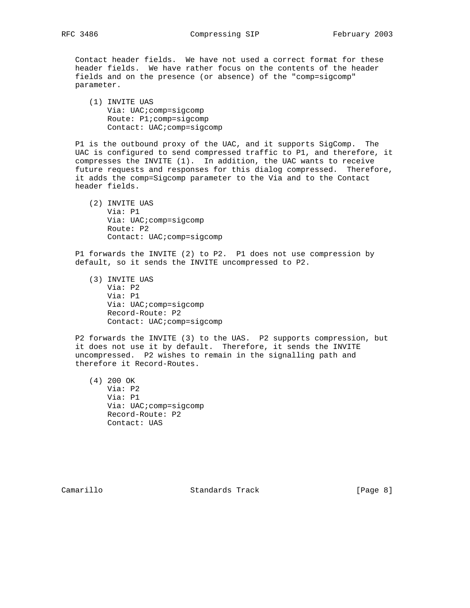Contact header fields. We have not used a correct format for these header fields. We have rather focus on the contents of the header fields and on the presence (or absence) of the "comp=sigcomp" parameter.

 (1) INVITE UAS Via: UAC;comp=sigcomp Route: P1;comp=sigcomp Contact: UAC;comp=sigcomp

 P1 is the outbound proxy of the UAC, and it supports SigComp. The UAC is configured to send compressed traffic to P1, and therefore, it compresses the INVITE (1). In addition, the UAC wants to receive future requests and responses for this dialog compressed. Therefore, it adds the comp=Sigcomp parameter to the Via and to the Contact header fields.

 (2) INVITE UAS Via: P1 Via: UAC;comp=sigcomp Route: P2 Contact: UAC;comp=sigcomp

 P1 forwards the INVITE (2) to P2. P1 does not use compression by default, so it sends the INVITE uncompressed to P2.

 (3) INVITE UAS Via: P2 Via: P1 Via: UAC;comp=sigcomp Record-Route: P2 Contact: UAC;comp=sigcomp

 P2 forwards the INVITE (3) to the UAS. P2 supports compression, but it does not use it by default. Therefore, it sends the INVITE uncompressed. P2 wishes to remain in the signalling path and therefore it Record-Routes.

 (4) 200 OK Via: P2 Via: P1 Via: UAC;comp=sigcomp Record-Route: P2 Contact: UAS

Camarillo Standards Track [Page 8]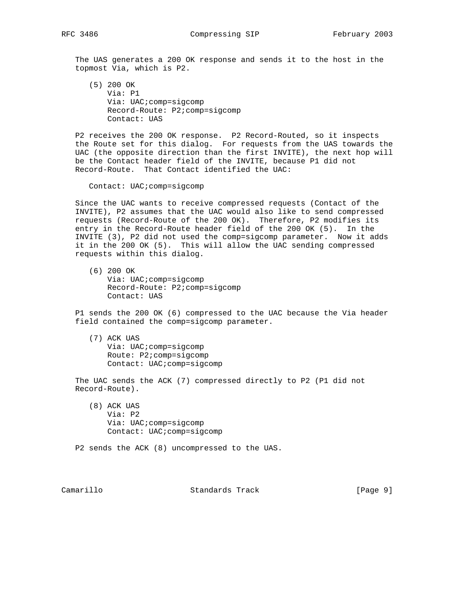The UAS generates a 200 OK response and sends it to the host in the topmost Via, which is P2.

 (5) 200 OK Via: P1 Via: UAC;comp=sigcomp Record-Route: P2;comp=sigcomp Contact: UAS

 P2 receives the 200 OK response. P2 Record-Routed, so it inspects the Route set for this dialog. For requests from the UAS towards the UAC (the opposite direction than the first INVITE), the next hop will be the Contact header field of the INVITE, because P1 did not Record-Route. That Contact identified the UAC:

Contact: UAC;comp=sigcomp

 Since the UAC wants to receive compressed requests (Contact of the INVITE), P2 assumes that the UAC would also like to send compressed requests (Record-Route of the 200 OK). Therefore, P2 modifies its entry in the Record-Route header field of the 200 OK (5). In the INVITE (3), P2 did not used the comp=sigcomp parameter. Now it adds it in the 200 OK (5). This will allow the UAC sending compressed requests within this dialog.

 (6) 200 OK Via: UAC;comp=sigcomp Record-Route: P2;comp=sigcomp Contact: UAS

 P1 sends the 200 OK (6) compressed to the UAC because the Via header field contained the comp=sigcomp parameter.

 (7) ACK UAS Via: UAC;comp=sigcomp Route: P2;comp=sigcomp Contact: UAC;comp=sigcomp

 The UAC sends the ACK (7) compressed directly to P2 (P1 did not Record-Route).

 (8) ACK UAS Via: P2 Via: UAC;comp=sigcomp Contact: UAC;comp=sigcomp

P2 sends the ACK (8) uncompressed to the UAS.

Camarillo Standards Track [Page 9]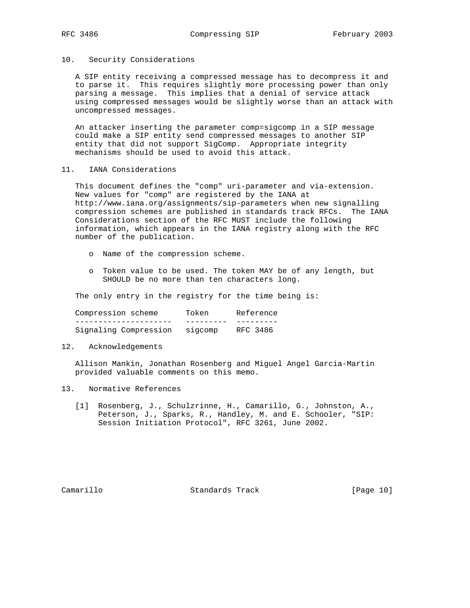#### 10. Security Considerations

 A SIP entity receiving a compressed message has to decompress it and to parse it. This requires slightly more processing power than only parsing a message. This implies that a denial of service attack using compressed messages would be slightly worse than an attack with uncompressed messages.

 An attacker inserting the parameter comp=sigcomp in a SIP message could make a SIP entity send compressed messages to another SIP entity that did not support SigComp. Appropriate integrity mechanisms should be used to avoid this attack.

### 11. IANA Considerations

 This document defines the "comp" uri-parameter and via-extension. New values for "comp" are registered by the IANA at http://www.iana.org/assignments/sip-parameters when new signalling compression schemes are published in standards track RFCs. The IANA Considerations section of the RFC MUST include the following information, which appears in the IANA registry along with the RFC number of the publication.

- o Name of the compression scheme.
- o Token value to be used. The token MAY be of any length, but SHOULD be no more than ten characters long.

The only entry in the registry for the time being is:

| Compression scheme    | Token   | Reference |
|-----------------------|---------|-----------|
|                       |         |           |
| Signaling Compression | sigcomp | RFC 3486  |

# 12. Acknowledgements

 Allison Mankin, Jonathan Rosenberg and Miguel Angel Garcia-Martin provided valuable comments on this memo.

- 13. Normative References
	- [1] Rosenberg, J., Schulzrinne, H., Camarillo, G., Johnston, A., Peterson, J., Sparks, R., Handley, M. and E. Schooler, "SIP: Session Initiation Protocol", RFC 3261, June 2002.

Camarillo Standards Track [Page 10]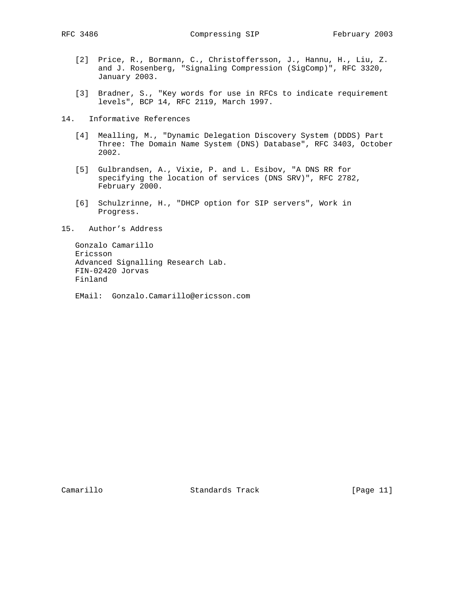RFC 3486 Compressing SIP February 2003

- [2] Price, R., Bormann, C., Christoffersson, J., Hannu, H., Liu, Z. and J. Rosenberg, "Signaling Compression (SigComp)", RFC 3320, January 2003.
- [3] Bradner, S., "Key words for use in RFCs to indicate requirement levels", BCP 14, RFC 2119, March 1997.
- 14. Informative References
	- [4] Mealling, M., "Dynamic Delegation Discovery System (DDDS) Part Three: The Domain Name System (DNS) Database", RFC 3403, October 2002.
	- [5] Gulbrandsen, A., Vixie, P. and L. Esibov, "A DNS RR for specifying the location of services (DNS SRV)", RFC 2782, February 2000.
	- [6] Schulzrinne, H., "DHCP option for SIP servers", Work in Progress.
- 15. Author's Address

 Gonzalo Camarillo Ericsson Advanced Signalling Research Lab. FIN-02420 Jorvas Finland

EMail: Gonzalo.Camarillo@ericsson.com

Camarillo Standards Track [Page 11]